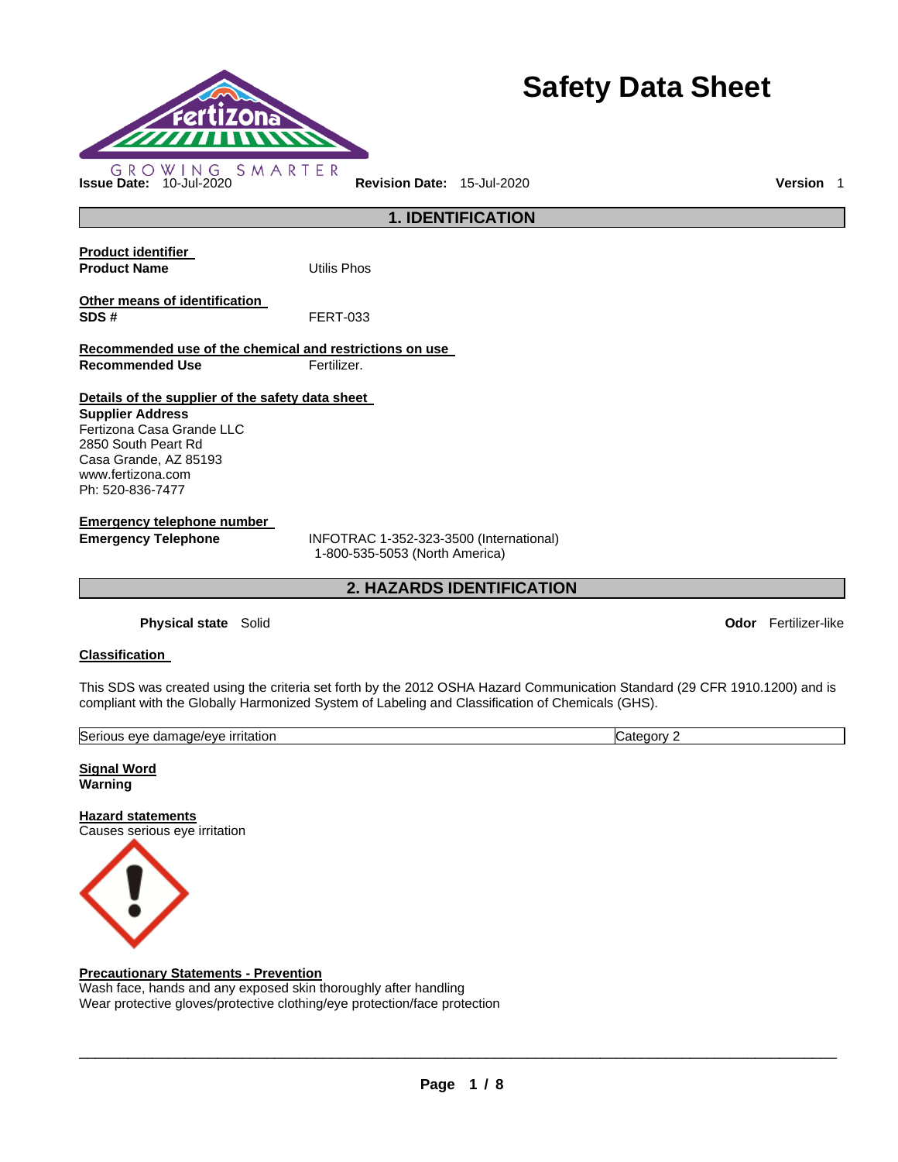

# **Safety Data Sheet**

**Odor** Fertilizer-like

|                                                                                                                                                                                                   | <b>1. IDENTIFICATION</b>                                                  |
|---------------------------------------------------------------------------------------------------------------------------------------------------------------------------------------------------|---------------------------------------------------------------------------|
| <b>Product identifier</b><br><b>Product Name</b>                                                                                                                                                  | Utilis Phos                                                               |
| Other means of identification<br>SDS#                                                                                                                                                             | <b>FERT-033</b>                                                           |
| Recommended use of the chemical and restrictions on use                                                                                                                                           |                                                                           |
| <b>Recommended Use</b>                                                                                                                                                                            | Fertilizer.                                                               |
| Details of the supplier of the safety data sheet<br><b>Supplier Address</b><br>Fertizona Casa Grande LLC<br>2850 South Peart Rd<br>Casa Grande, AZ 85193<br>www.fertizona.com<br>Ph: 520-836-7477 |                                                                           |
| Emergency telephone number                                                                                                                                                                        |                                                                           |
| <b>Emergency Telephone</b>                                                                                                                                                                        | INFOTRAC 1-352-323-3500 (International)<br>1-800-535-5053 (North America) |
|                                                                                                                                                                                                   | <b>2. HAZARDS IDENTIFICATION</b>                                          |
| Physical state Solid                                                                                                                                                                              |                                                                           |

# **Classification**

This SDS was created using the criteria set forth by the 2012 OSHA Hazard Communication Standard (29 CFR 1910.1200) and is compliant with the Globally Harmonized System of Labeling and Classification of Chemicals (GHS).

| Serio<br><u>irritation</u><br>…age/eve∴<br>AVA<br>dama<br>,,,<br>.<br>. | …י∩רי<br>.ater |
|-------------------------------------------------------------------------|----------------|
|                                                                         |                |

**Signal Word Warning** 

**Hazard statements** Causes serious eye irritation



### **Precautionary Statements - Prevention**

Wash face, hands and any exposed skin thoroughly after handling Wear protective gloves/protective clothing/eye protection/face protection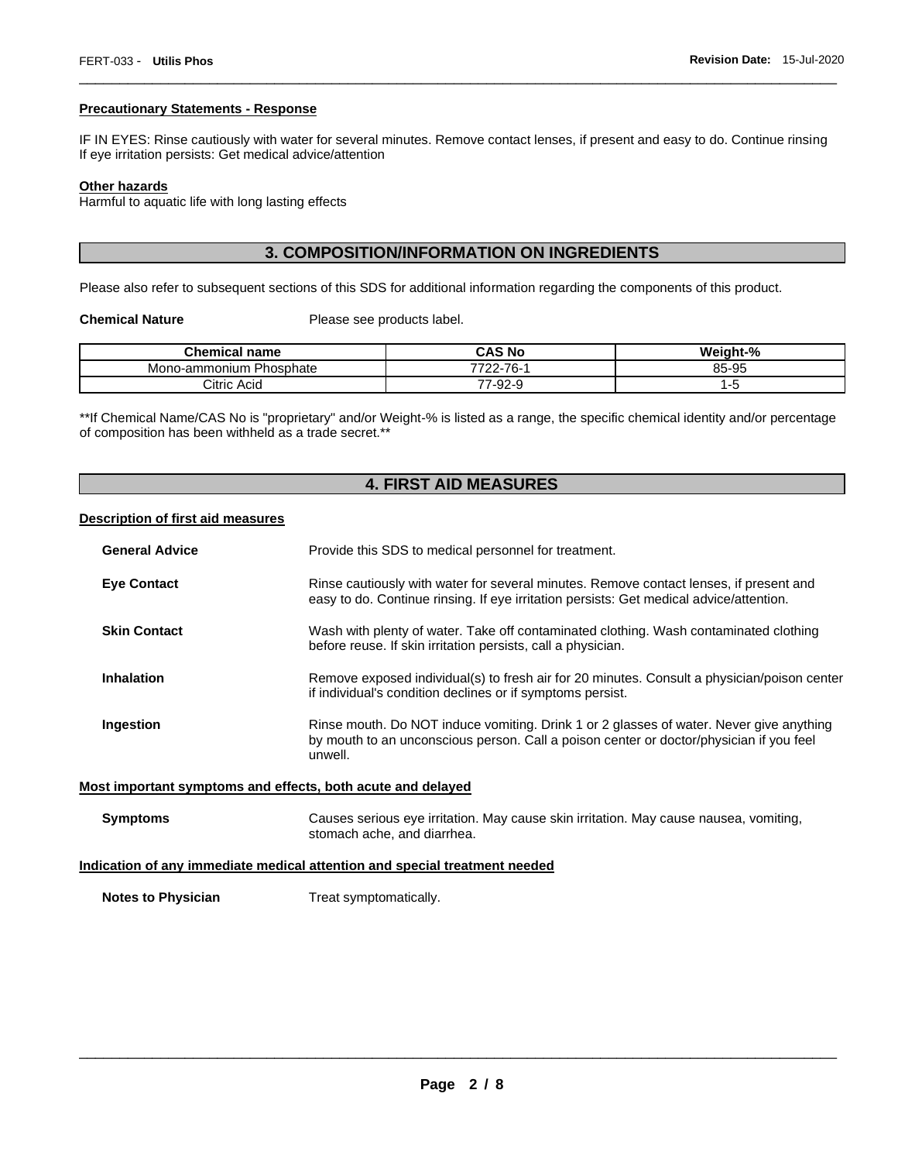### **Precautionary Statements - Response**

IF IN EYES: Rinse cautiously with water for several minutes. Remove contact lenses, if present and easy to do. Continue rinsing If eye irritation persists: Get medical advice/attention

\_\_\_\_\_\_\_\_\_\_\_\_\_\_\_\_\_\_\_\_\_\_\_\_\_\_\_\_\_\_\_\_\_\_\_\_\_\_\_\_\_\_\_\_\_\_\_\_\_\_\_\_\_\_\_\_\_\_\_\_\_\_\_\_\_\_\_\_\_\_\_\_\_\_\_\_\_\_\_\_\_\_\_\_\_\_\_\_\_\_\_\_\_

# **Other hazards**

Harmful to aquatic life with long lasting effects

# **3. COMPOSITION/INFORMATION ON INGREDIENTS**

Please also refer to subsequent sections of this SDS for additional information regarding the components of this product.

**Chemical Nature**  Please see products label.

| Chemical<br>name           | <b>CAS No</b>        | Weight-% |
|----------------------------|----------------------|----------|
| Phosphate<br>Mono-ammonium | $22 - 76 -$<br>7700. | 85-95    |
| Citric Acid                | 7-92-9               | -        |

\*\*If Chemical Name/CAS No is "proprietary" and/or Weight-% is listed as a range, the specific chemical identity and/or percentage of composition has been withheld as a trade secret.\*\*

# **4. FIRST AID MEASURES**

### **Description of first aid measures**

| <b>General Advice</b>                                                      | Provide this SDS to medical personnel for treatment.                                                                                                                                          |  |
|----------------------------------------------------------------------------|-----------------------------------------------------------------------------------------------------------------------------------------------------------------------------------------------|--|
| <b>Eye Contact</b>                                                         | Rinse cautiously with water for several minutes. Remove contact lenses, if present and<br>easy to do. Continue rinsing. If eye irritation persists: Get medical advice/attention.             |  |
| <b>Skin Contact</b>                                                        | Wash with plenty of water. Take off contaminated clothing. Wash contaminated clothing<br>before reuse. If skin irritation persists, call a physician.                                         |  |
| <b>Inhalation</b>                                                          | Remove exposed individual(s) to fresh air for 20 minutes. Consult a physician/poison center<br>if individual's condition declines or if symptoms persist.                                     |  |
| Ingestion                                                                  | Rinse mouth. Do NOT induce vomiting. Drink 1 or 2 glasses of water. Never give anything<br>by mouth to an unconscious person. Call a poison center or doctor/physician if you feel<br>unwell. |  |
|                                                                            | Most important symptoms and effects, both acute and delayed                                                                                                                                   |  |
| <b>Symptoms</b>                                                            | Causes serious eye irritation. May cause skin irritation. May cause nausea, vomiting,<br>stomach ache, and diarrhea.                                                                          |  |
| Indication of any immediate medical attention and special treatment needed |                                                                                                                                                                                               |  |

**Notes to Physician**  Treat symptomatically.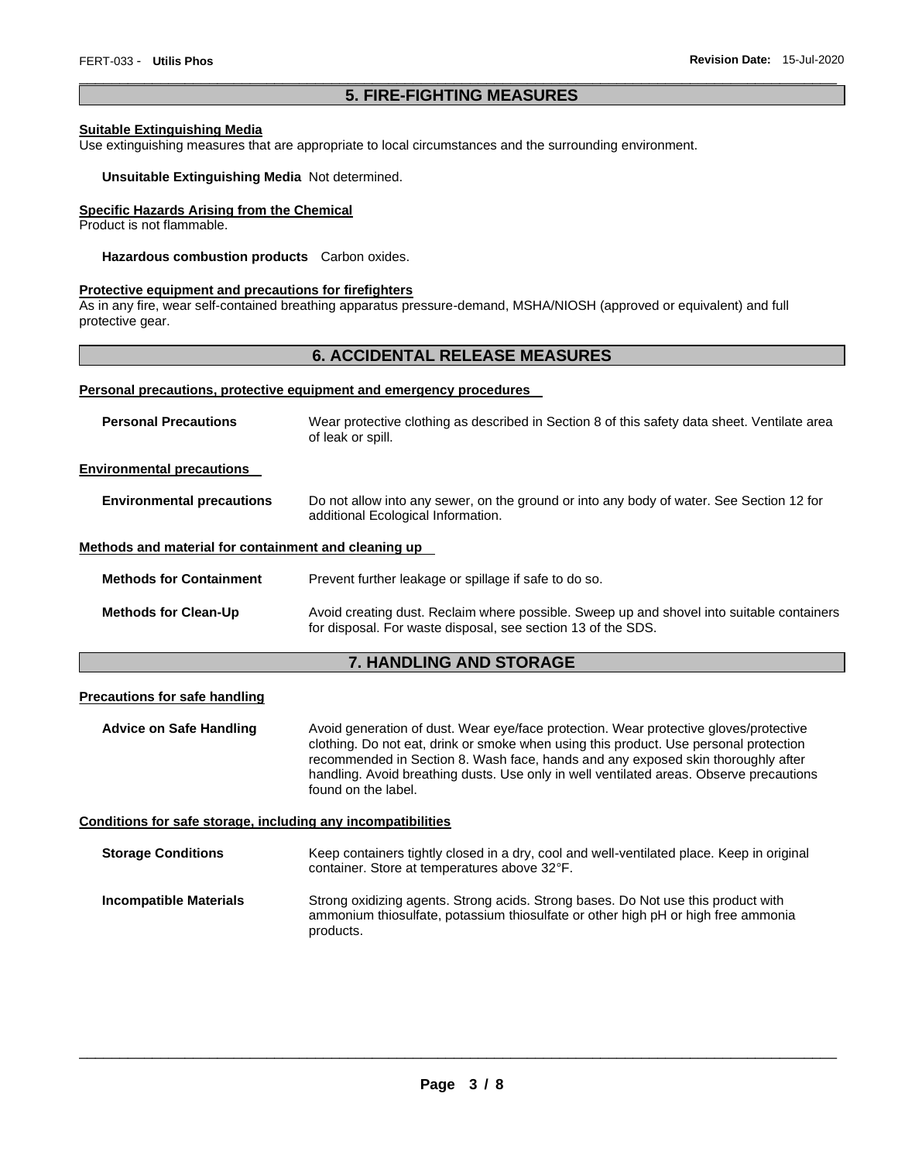# \_\_\_\_\_\_\_\_\_\_\_\_\_\_\_\_\_\_\_\_\_\_\_\_\_\_\_\_\_\_\_\_\_\_\_\_\_\_\_\_\_\_\_\_\_\_\_\_\_\_\_\_\_\_\_\_\_\_\_\_\_\_\_\_\_\_\_\_\_\_\_\_\_\_\_\_\_\_\_\_\_\_\_\_\_\_\_\_\_\_\_\_\_ **5. FIRE-FIGHTING MEASURES**

### **Suitable Extinguishing Media**

Use extinguishing measures that are appropriate to local circumstances and the surrounding environment.

### **Unsuitable Extinguishing Media** Not determined.

# **Specific Hazards Arising from the Chemical**

Product is not flammable.

**Hazardous combustion products** Carbon oxides.

### **Protective equipment and precautions for firefighters**

As in any fire, wear self-contained breathing apparatus pressure-demand, MSHA/NIOSH (approved or equivalent) and full protective gear.

# **6. ACCIDENTAL RELEASE MEASURES**

#### **Personal precautions, protective equipment and emergency procedures**

| <b>Personal Precautions</b>                          | Wear protective clothing as described in Section 8 of this safety data sheet. Ventilate area<br>of leak or spill.                                         |
|------------------------------------------------------|-----------------------------------------------------------------------------------------------------------------------------------------------------------|
| <b>Environmental precautions</b>                     |                                                                                                                                                           |
| <b>Environmental precautions</b>                     | Do not allow into any sewer, on the ground or into any body of water. See Section 12 for<br>additional Ecological Information.                            |
| Methods and material for containment and cleaning up |                                                                                                                                                           |
| <b>Methods for Containment</b>                       | Prevent further leakage or spillage if safe to do so.                                                                                                     |
| <b>Methods for Clean-Up</b>                          | Avoid creating dust. Reclaim where possible. Sweep up and shovel into suitable containers<br>for disposal. For waste disposal, see section 13 of the SDS. |

# **7. HANDLING AND STORAGE**

### **Precautions for safe handling**

**Advice on Safe Handling** Avoid generation of dust. Wear eye/face protection. Wear protective gloves/protective clothing. Do not eat, drink or smoke when using this product. Use personal protection recommended in Section 8. Wash face, hands and any exposed skin thoroughly after handling. Avoid breathing dusts. Use only in well ventilated areas. Observe precautions found on the label.

### **Conditions for safe storage, including any incompatibilities**

| <b>Storage Conditions</b>     | Keep containers tightly closed in a dry, cool and well-ventilated place. Keep in original<br>container. Store at temperatures above 32°F.                                           |
|-------------------------------|-------------------------------------------------------------------------------------------------------------------------------------------------------------------------------------|
| <b>Incompatible Materials</b> | Strong oxidizing agents. Strong acids. Strong bases. Do Not use this product with<br>ammonium thiosulfate, potassium thiosulfate or other high pH or high free ammonia<br>products. |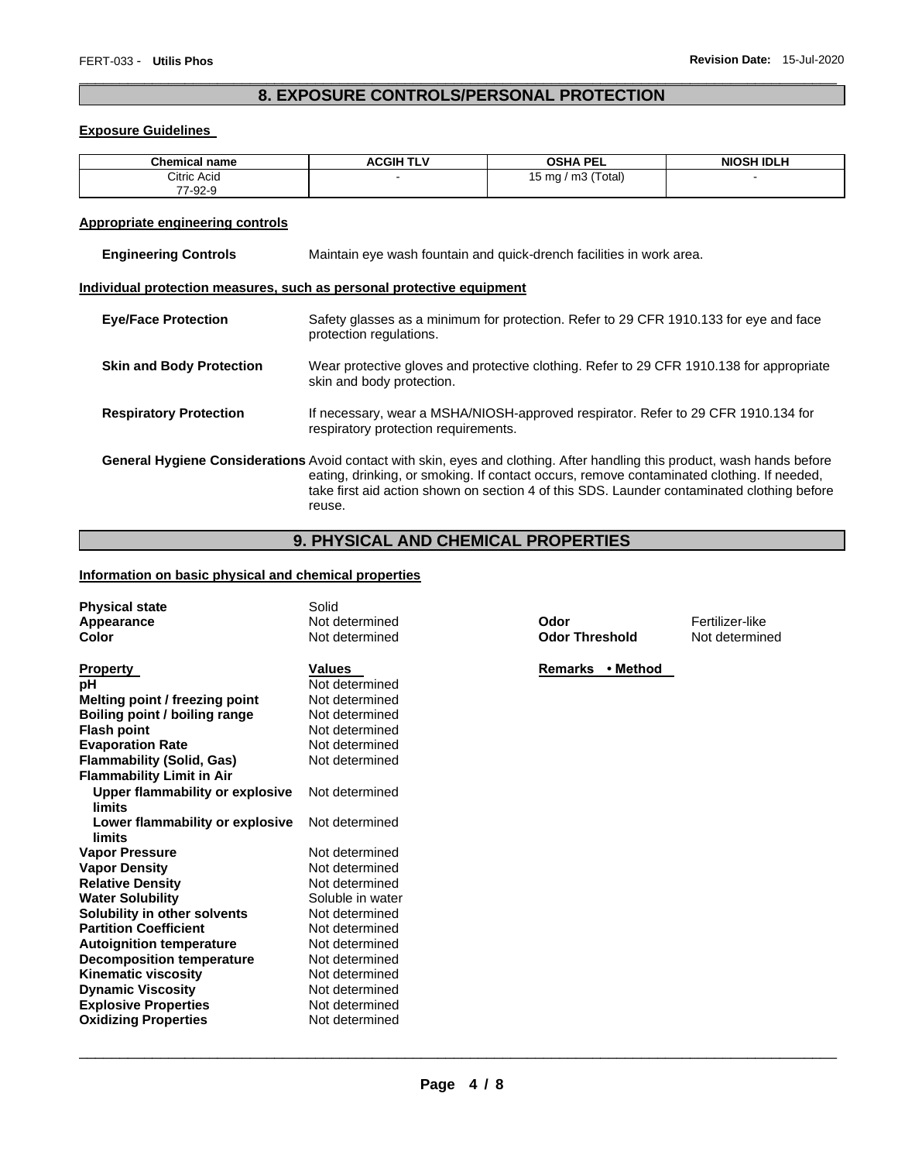# \_\_\_\_\_\_\_\_\_\_\_\_\_\_\_\_\_\_\_\_\_\_\_\_\_\_\_\_\_\_\_\_\_\_\_\_\_\_\_\_\_\_\_\_\_\_\_\_\_\_\_\_\_\_\_\_\_\_\_\_\_\_\_\_\_\_\_\_\_\_\_\_\_\_\_\_\_\_\_\_\_\_\_\_\_\_\_\_\_\_\_\_\_ **8. EXPOSURE CONTROLS/PERSONAL PROTECTION**

# **Exposure Guidelines**

| <b>Chemical name</b> | <b>ACGIH TLV</b> | <b>OSHA PEL</b>         | <b>NIOSH IDLH</b> |
|----------------------|------------------|-------------------------|-------------------|
| Citric Acid          |                  | m3 (Total)<br>15 mg $/$ |                   |
| 77-92-9              |                  |                         |                   |

# **Appropriate engineering controls**

| <b>Engineering Controls</b>                                                                                                                                                                                                                                                                                                    | Maintain eye wash fountain and quick-drench facilities in work area.                                                      |  |
|--------------------------------------------------------------------------------------------------------------------------------------------------------------------------------------------------------------------------------------------------------------------------------------------------------------------------------|---------------------------------------------------------------------------------------------------------------------------|--|
|                                                                                                                                                                                                                                                                                                                                | Individual protection measures, such as personal protective equipment                                                     |  |
| <b>Eye/Face Protection</b>                                                                                                                                                                                                                                                                                                     | Safety glasses as a minimum for protection. Refer to 29 CFR 1910.133 for eye and face<br>protection regulations.          |  |
| <b>Skin and Body Protection</b>                                                                                                                                                                                                                                                                                                | Wear protective gloves and protective clothing. Refer to 29 CFR 1910.138 for appropriate<br>skin and body protection.     |  |
| <b>Respiratory Protection</b>                                                                                                                                                                                                                                                                                                  | If necessary, wear a MSHA/NIOSH-approved respirator. Refer to 29 CFR 1910.134 for<br>respiratory protection requirements. |  |
| General Hygiene Considerations Avoid contact with skin, eyes and clothing. After handling this product, wash hands before<br>eating, drinking, or smoking. If contact occurs, remove contaminated clothing. If needed,<br>take first aid action shown on section 4 of this SDS. Launder contaminated clothing before<br>reuse. |                                                                                                                           |  |

# **9. PHYSICAL AND CHEMICAL PROPERTIES**

# **Information on basic physical and chemical properties**

| <b>Physical state</b><br>Appearance<br>Color                                                                                                                                                                                                                                                                                                                                                                                                                                                                                                                                            | Solid<br>Not determined<br>Not determined                                                                                                                                                                                                                                                                                         | Odor<br><b>Odor Threshold</b> | Fertilizer-like<br>Not determined |
|-----------------------------------------------------------------------------------------------------------------------------------------------------------------------------------------------------------------------------------------------------------------------------------------------------------------------------------------------------------------------------------------------------------------------------------------------------------------------------------------------------------------------------------------------------------------------------------------|-----------------------------------------------------------------------------------------------------------------------------------------------------------------------------------------------------------------------------------------------------------------------------------------------------------------------------------|-------------------------------|-----------------------------------|
| <b>Property</b><br>рH<br>Melting point / freezing point<br>Boiling point / boiling range<br><b>Flash point</b><br><b>Evaporation Rate</b><br><b>Flammability (Solid, Gas)</b><br><b>Flammability Limit in Air</b><br>Upper flammability or explosive<br>limits<br>Lower flammability or explosive<br>limits<br><b>Vapor Pressure</b><br><b>Vapor Density</b><br><b>Relative Density</b><br><b>Water Solubility</b><br>Solubility in other solvents<br><b>Partition Coefficient</b><br><b>Autoignition temperature</b><br><b>Decomposition temperature</b><br><b>Kinematic viscosity</b> | <b>Values</b><br>Not determined<br>Not determined<br>Not determined<br>Not determined<br>Not determined<br>Not determined<br>Not determined<br>Not determined<br>Not determined<br>Not determined<br>Not determined<br>Soluble in water<br>Not determined<br>Not determined<br>Not determined<br>Not determined<br>Not determined | Remarks • Method              |                                   |
| <b>Dynamic Viscosity</b><br><b>Explosive Properties</b><br><b>Oxidizing Properties</b>                                                                                                                                                                                                                                                                                                                                                                                                                                                                                                  | Not determined<br>Not determined<br>Not determined                                                                                                                                                                                                                                                                                |                               |                                   |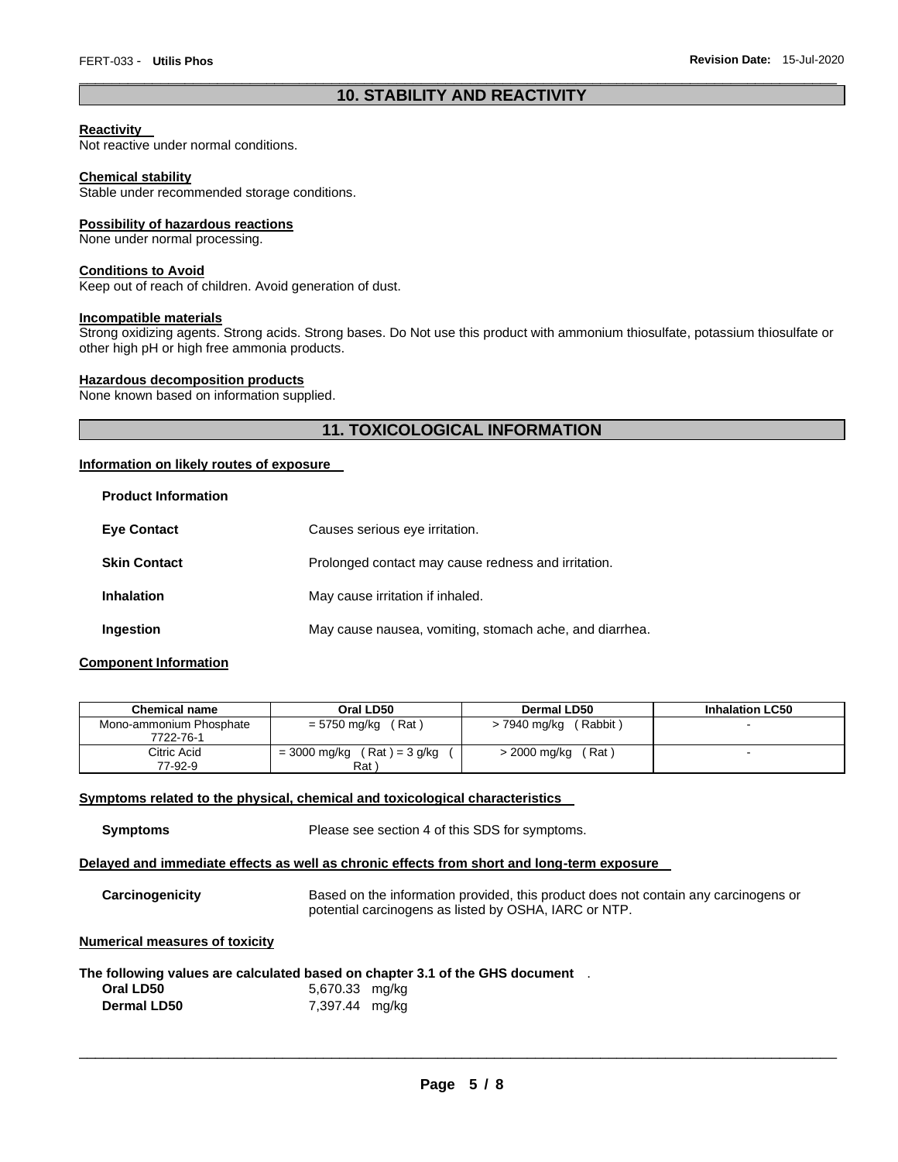# \_\_\_\_\_\_\_\_\_\_\_\_\_\_\_\_\_\_\_\_\_\_\_\_\_\_\_\_\_\_\_\_\_\_\_\_\_\_\_\_\_\_\_\_\_\_\_\_\_\_\_\_\_\_\_\_\_\_\_\_\_\_\_\_\_\_\_\_\_\_\_\_\_\_\_\_\_\_\_\_\_\_\_\_\_\_\_\_\_\_\_\_\_ **10. STABILITY AND REACTIVITY**

### **Reactivity**

Not reactive under normal conditions.

### **Chemical stability**

Stable under recommended storage conditions.

### **Possibility of hazardous reactions**

None under normal processing.

### **Conditions to Avoid**

Keep out of reach of children. Avoid generation of dust.

### **Incompatible materials**

Strong oxidizing agents. Strong acids. Strong bases. Do Not use this product with ammonium thiosulfate, potassium thiosulfate or other high pH or high free ammonia products.

### **Hazardous decomposition products**

None known based on information supplied.

# **11. TOXICOLOGICAL INFORMATION**

### **Information on likely routes of exposure**

| FIUUUUL IIIIUI IIIAUUII |                                                         |
|-------------------------|---------------------------------------------------------|
| <b>Eve Contact</b>      | Causes serious eye irritation.                          |
| <b>Skin Contact</b>     | Prolonged contact may cause redness and irritation.     |
| <b>Inhalation</b>       | May cause irritation if inhaled.                        |
| Ingestion               | May cause nausea, vomiting, stomach ache, and diarrhea. |

### **Component Information**

**Product Information** 

| <b>Chemical name</b>    | Oral LD50                        | Dermal LD50              | <b>Inhalation LC50</b> |
|-------------------------|----------------------------------|--------------------------|------------------------|
| Mono-ammonium Phosphate | (Rat)<br>= 5750 mg/kg            | (Rabbit)<br>> 7940 mg/kg |                        |
| 7722-76-1               |                                  |                          |                        |
| Citric Acid             | $(Rat) = 3 g/kg$<br>= 3000 mg/kg | (Rat)<br>> 2000 mg/kg    | -                      |
| 77-92-9                 | Rat <sup>'</sup>                 |                          |                        |

### **Symptoms related to the physical, chemical and toxicological characteristics**

**Symptoms** Please see section 4 of this SDS for symptoms.

### **Delayed and immediate effects as well as chronic effects from short and long-term exposure**

**Carcinogenicity** Based on the information provided, this product does not contain any carcinogens or potential carcinogens as listed by OSHA, IARC or NTP.

### **Numerical measures of toxicity**

### **The following values are calculated based on chapter 3.1 of the GHS document** .

| Oral LD50          | 5,670.33 mg/kg |  |
|--------------------|----------------|--|
| <b>Dermal LD50</b> | 7,397.44 mg/kg |  |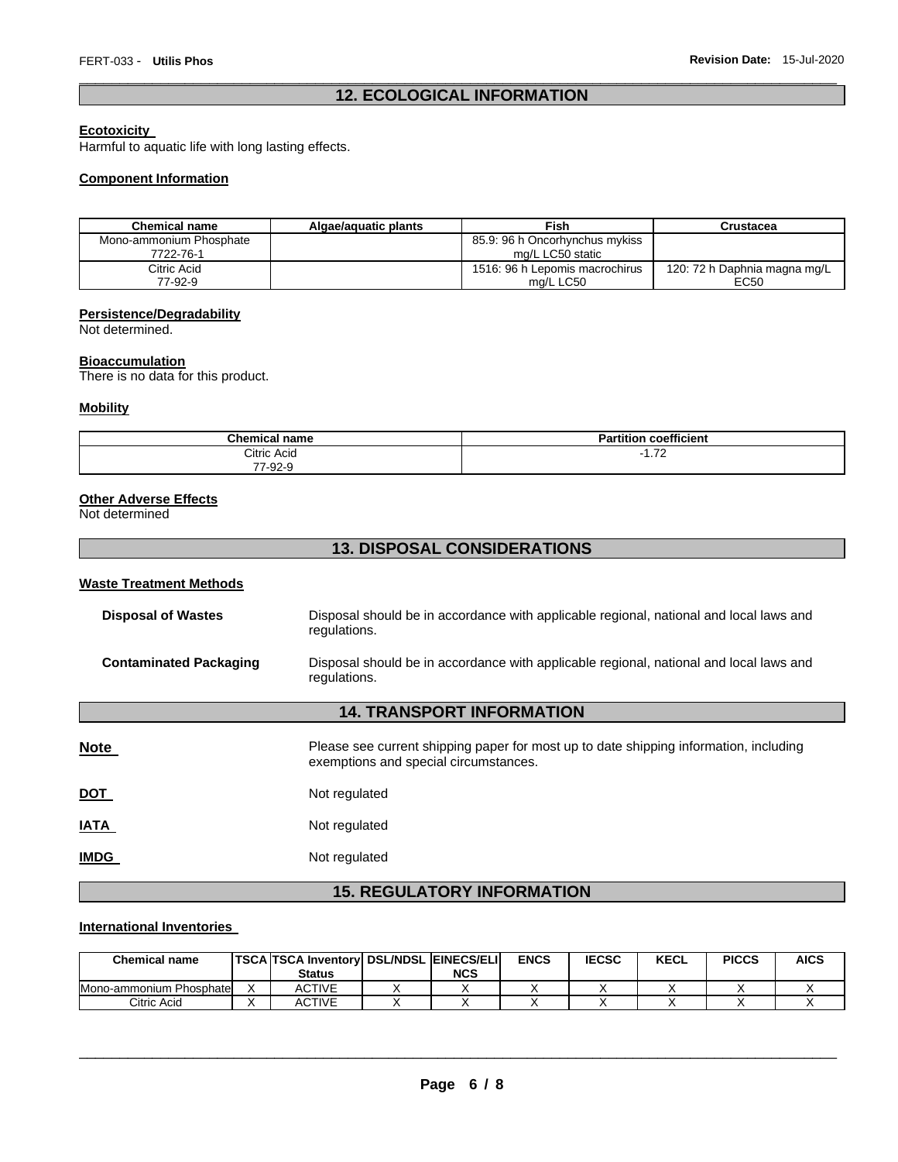# \_\_\_\_\_\_\_\_\_\_\_\_\_\_\_\_\_\_\_\_\_\_\_\_\_\_\_\_\_\_\_\_\_\_\_\_\_\_\_\_\_\_\_\_\_\_\_\_\_\_\_\_\_\_\_\_\_\_\_\_\_\_\_\_\_\_\_\_\_\_\_\_\_\_\_\_\_\_\_\_\_\_\_\_\_\_\_\_\_\_\_\_\_ **12. ECOLOGICAL INFORMATION**

# **Ecotoxicity**

Harmful to aquatic life with long lasting effects.

### **Component Information**

| <b>Chemical name</b>    | Algae/aguatic plants | Fish                           | Crustacea                    |
|-------------------------|----------------------|--------------------------------|------------------------------|
| Mono-ammonium Phosphate |                      | 85.9: 96 h Oncorhynchus mykiss |                              |
| 7722-76-1               |                      | mg/L LC50 static               |                              |
| Citric Acid             |                      | 1516: 96 h Lepomis macrochirus | 120: 72 h Daphnia magna mg/L |
| 77-92-9                 |                      | mg/L LC50                      | EC50                         |

# **Persistence/Degradability**

Not determined.

### **Bioaccumulation**

There is no data for this product.

# **Mobility**

| <b>Chemical name</b> | coefficient<br>.<br>Dari<br>rtition<br>а |
|----------------------|------------------------------------------|
| Citric Acid          | 70<br>- 1                                |
| 7-92-9<br>--         |                                          |

### **Other Adverse Effects**

Not determined

# **13. DISPOSAL CONSIDERATIONS**

# **Waste Treatment Methods**

| <b>Disposal of Wastes</b>         | Disposal should be in accordance with applicable regional, national and local laws and<br>regulations.                         |  |  |  |  |
|-----------------------------------|--------------------------------------------------------------------------------------------------------------------------------|--|--|--|--|
| <b>Contaminated Packaging</b>     | Disposal should be in accordance with applicable regional, national and local laws and<br>regulations.                         |  |  |  |  |
| <b>14. TRANSPORT INFORMATION</b>  |                                                                                                                                |  |  |  |  |
| Note                              | Please see current shipping paper for most up to date shipping information, including<br>exemptions and special circumstances. |  |  |  |  |
| <b>DOT</b>                        | Not regulated                                                                                                                  |  |  |  |  |
| <u>IATA</u>                       | Not regulated                                                                                                                  |  |  |  |  |
| <b>IMDG</b>                       | Not regulated                                                                                                                  |  |  |  |  |
| <b>15. REGULATORY INFORMATION</b> |                                                                                                                                |  |  |  |  |

# **International Inventories**

| <b>Chemical name</b>    | <b>TSCA TSCA Inventory DSL/NDSL EINECS/ELI</b><br><b>Status</b> | NCS | <b>ENCS</b> | <b>IECSC</b> | <b>KECL</b> | <b>PICCS</b> | AICS |
|-------------------------|-----------------------------------------------------------------|-----|-------------|--------------|-------------|--------------|------|
| Mono-ammonium Phosphate | <b>ACTIVE</b>                                                   |     |             |              |             |              |      |
| Citric Acid             | ACTIVE                                                          |     |             |              |             |              |      |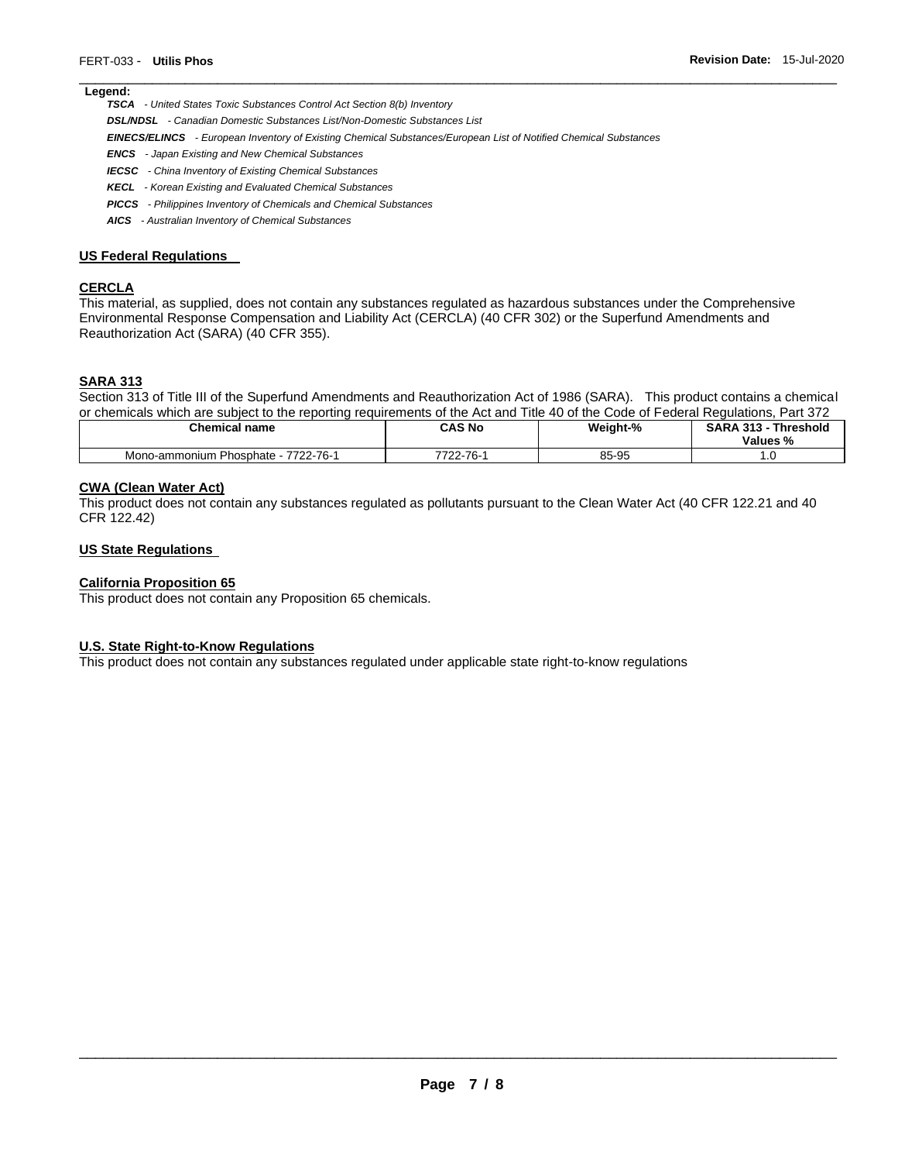# **Legend:**

*TSCA - United States Toxic Substances Control Act Section 8(b) Inventory* 

*DSL/NDSL - Canadian Domestic Substances List/Non-Domestic Substances List* 

*EINECS/ELINCS - European Inventory of Existing Chemical Substances/European List of Notified Chemical Substances* 

- *ENCS - Japan Existing and New Chemical Substances*
- *IECSC - China Inventory of Existing Chemical Substances*
- *KECL - Korean Existing and Evaluated Chemical Substances*
- *PICCS - Philippines Inventory of Chemicals and Chemical Substances*
- *AICS - Australian Inventory of Chemical Substances*

#### **US Federal Regulations**

# **CERCLA**

This material, as supplied, does not contain any substances regulated as hazardous substances under the Comprehensive Environmental Response Compensation and Liability Act (CERCLA) (40 CFR 302) or the Superfund Amendments and Reauthorization Act (SARA) (40 CFR 355).

### **SARA 313**

Section 313 of Title III of the Superfund Amendments and Reauthorization Act of 1986 (SARA). This product contains a chemical or chemicals which are subject to the reporting requirements of the Act and Title 40 of the Code of Federal Regulations, Part 372

\_\_\_\_\_\_\_\_\_\_\_\_\_\_\_\_\_\_\_\_\_\_\_\_\_\_\_\_\_\_\_\_\_\_\_\_\_\_\_\_\_\_\_\_\_\_\_\_\_\_\_\_\_\_\_\_\_\_\_\_\_\_\_\_\_\_\_\_\_\_\_\_\_\_\_\_\_\_\_\_\_\_\_\_\_\_\_\_\_\_\_\_\_

| <b>Chemical name</b>                          | CAS No              | Weight-% | <b>SARA 313 -</b><br><b>Threshold</b><br>Values %<br>"∕∘ |
|-----------------------------------------------|---------------------|----------|----------------------------------------------------------|
| 7722-76-1<br>1 Phosphate - 7<br>Mono-ammonium | $22 - 76 -$<br>7700 | 85-95    | ں.                                                       |

### **CWA (Clean Water Act)**

This product does not contain any substances regulated as pollutants pursuant to the Clean Water Act (40 CFR 122.21 and 40 CFR 122.42)

### **US State Regulations**

### **California Proposition 65**

This product does not contain any Proposition 65 chemicals.

### **U.S. State Right-to-Know Regulations**

This product does not contain any substances regulated under applicable state right-to-know regulations